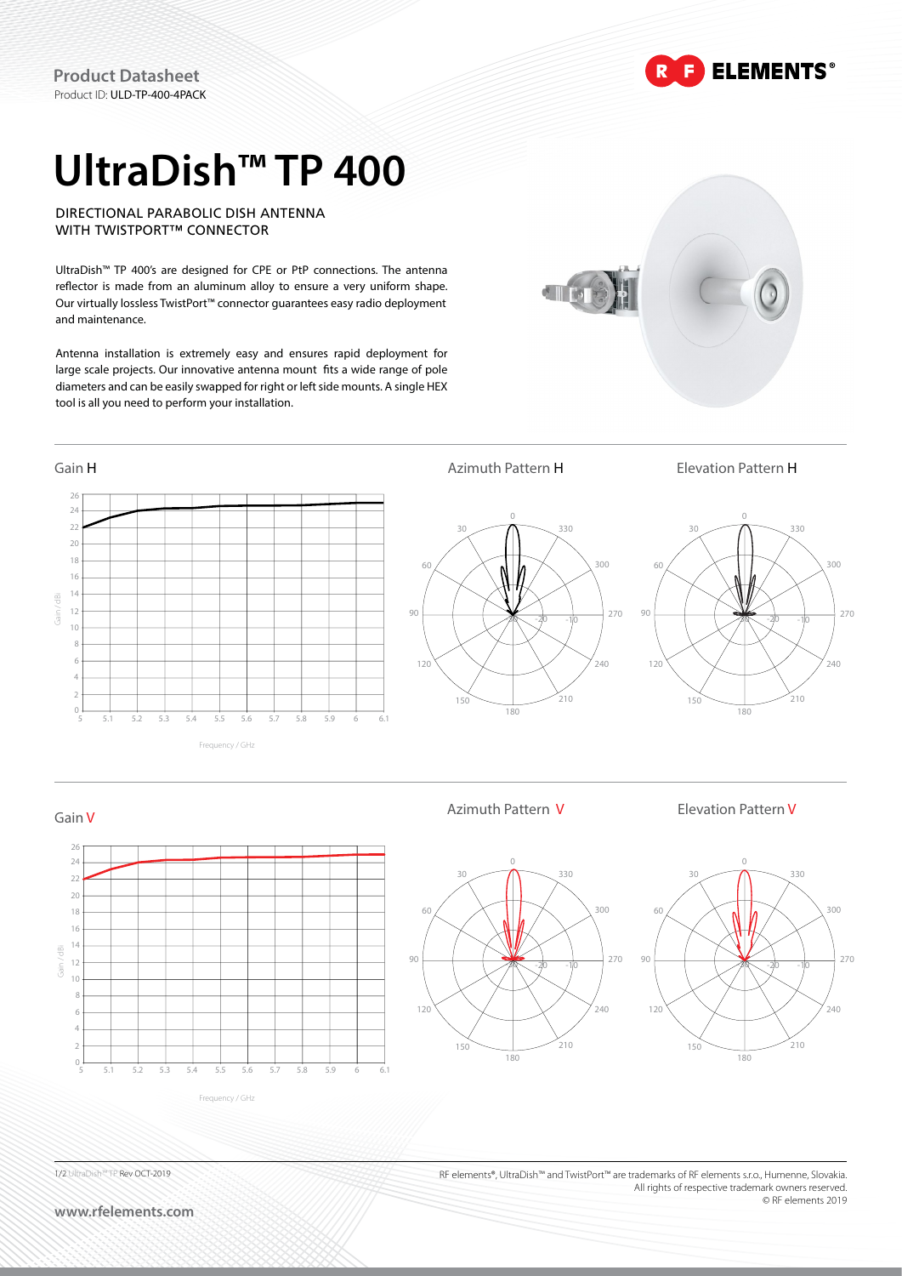**ELEMENTS®** 

# **UltraDish™ TP 400**

DIRECTIONAL PARABOLIC DISH ANTENNA WITH TWISTPORT™ CONNECTOR

UltraDish™ TP 400's are designed for CPE or PtP connections. The antenna reflector is made from an aluminum alloy to ensure a very uniform shape. Our virtually lossless TwistPort™ connector guarantees easy radio deployment and maintenance.

Antenna installation is extremely easy and ensures rapid deployment for large scale projects. Our innovative antenna mount fits a wide range of pole diameters and can be easily swapped for right or left side mounts. A single HEX tool is all you need to perform your installation.



Azimuth Pattern V Elevation Pattern V